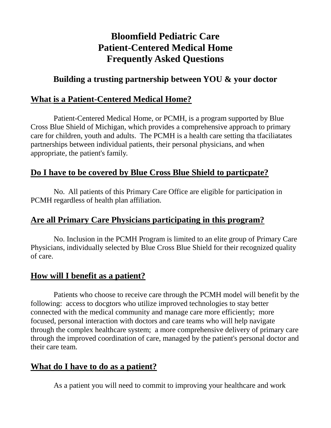## **Bloomfield Pediatric Care Patient-Centered Medical Home Frequently Asked Questions**

### **Building a trusting partnership between YOU & your doctor**

#### **What is a Patient-Centered Medical Home?**

Patient-Centered Medical Home, or PCMH, is a program supported by Blue Cross Blue Shield of Michigan, which provides a comprehensive approach to primary care for children, youth and adults. The PCMH is a health care setting tha tfaciliatates partnerships between individual patients, their personal physicians, and when appropriate, the patient's family.

### **Do I have to be covered by Blue Cross Blue Shield to particpate?**

No. All patients of this Primary Care Office are eligible for participation in PCMH regardless of health plan affiliation.

### **Are all Primary Care Physicians participating in this program?**

No. Inclusion in the PCMH Program is limited to an elite group of Primary Care Physicians, individually selected by Blue Cross Blue Shield for their recognized quality of care.

### **How will I benefit as a patient?**

Patients who choose to receive care through the PCMH model will benefit by the following: access to docgtors who utilize improved technologies to stay better connected with the medical community and manage care more efficiently; more focused, personal interaction with doctors and care teams who will help navigate through the complex healthcare system; a more comprehensive delivery of primary care through the improved coordination of care, managed by the patient's personal doctor and their care team.

### **What do I have to do as a patient?**

As a patient you will need to commit to improving your healthcare and work